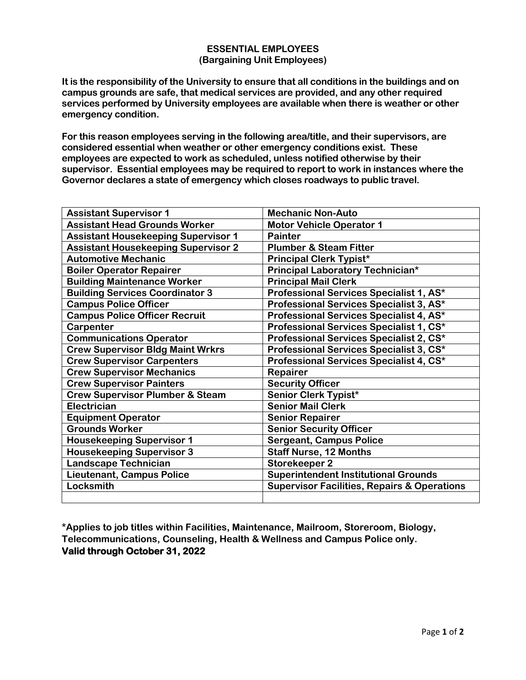## **ESSENTIAL EMPLOYEES (Bargaining Unit Employees)**

**It is the responsibility of the University to ensure that all conditions in the buildings and on campus grounds are safe, that medical services are provided, and any other required services performed by University employees are available when there is weather or other emergency condition.**

**For this reason employees serving in the following area/title, and their supervisors, are considered essential when weather or other emergency conditions exist. These employees are expected to work as scheduled, unless notified otherwise by their supervisor. Essential employees may be required to report to work in instances where the Governor declares a state of emergency which closes roadways to public travel.**

| <b>Assistant Supervisor 1</b>              | <b>Mechanic Non-Auto</b>                               |
|--------------------------------------------|--------------------------------------------------------|
| <b>Assistant Head Grounds Worker</b>       | <b>Motor Vehicle Operator 1</b>                        |
| <b>Assistant Housekeeping Supervisor 1</b> | <b>Painter</b>                                         |
| <b>Assistant Housekeeping Supervisor 2</b> | <b>Plumber &amp; Steam Fitter</b>                      |
| <b>Automotive Mechanic</b>                 | <b>Principal Clerk Typist*</b>                         |
| <b>Boiler Operator Repairer</b>            | Principal Laboratory Technician*                       |
| <b>Building Maintenance Worker</b>         | <b>Principal Mail Clerk</b>                            |
| <b>Building Services Coordinator 3</b>     | Professional Services Specialist 1, AS*                |
| <b>Campus Police Officer</b>               | Professional Services Specialist 3, AS*                |
| <b>Campus Police Officer Recruit</b>       | Professional Services Specialist 4, AS*                |
| Carpenter                                  | Professional Services Specialist 1, CS*                |
| <b>Communications Operator</b>             | Professional Services Specialist 2, CS*                |
| <b>Crew Supervisor Bldg Maint Wrkrs</b>    | Professional Services Specialist 3, CS*                |
| <b>Crew Supervisor Carpenters</b>          | Professional Services Specialist 4, CS*                |
| <b>Crew Supervisor Mechanics</b>           | Repairer                                               |
| <b>Crew Supervisor Painters</b>            | <b>Security Officer</b>                                |
| <b>Crew Supervisor Plumber &amp; Steam</b> | Senior Clerk Typist*                                   |
| <b>Electrician</b>                         | <b>Senior Mail Clerk</b>                               |
| <b>Equipment Operator</b>                  | <b>Senior Repairer</b>                                 |
| <b>Grounds Worker</b>                      | <b>Senior Security Officer</b>                         |
| <b>Housekeeping Supervisor 1</b>           | <b>Sergeant, Campus Police</b>                         |
| <b>Housekeeping Supervisor 3</b>           | <b>Staff Nurse, 12 Months</b>                          |
| <b>Landscape Technician</b>                | <b>Storekeeper 2</b>                                   |
| <b>Lieutenant, Campus Police</b>           | <b>Superintendent Institutional Grounds</b>            |
| Locksmith                                  | <b>Supervisor Facilities, Repairs &amp; Operations</b> |
|                                            |                                                        |

**\*Applies to job titles within Facilities, Maintenance, Mailroom, Storeroom, Biology, Telecommunications, Counseling, Health & Wellness and Campus Police only. Valid through October 31, 2022**